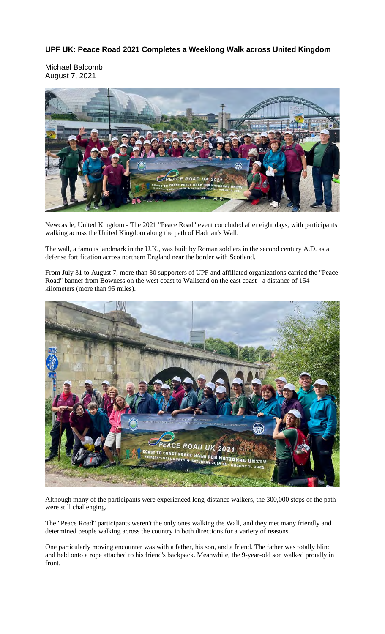## **UPF UK: Peace Road 2021 Completes a Weeklong Walk across United Kingdom**

Michael Balcomb August 7, 2021



Newcastle, United Kingdom - The 2021 "Peace Road" event concluded after eight days, with participants walking across the United Kingdom along the path of Hadrian's Wall.

The wall, a famous landmark in the U.K., was built by Roman soldiers in the second century A.D. as a defense fortification across northern England near the border with Scotland.

From July 31 to August 7, more than 30 supporters of UPF and affiliated organizations carried the "Peace Road" banner from Bowness on the west coast to Wallsend on the east coast - a distance of 154 kilometers (more than 95 miles).



Although many of the participants were experienced long-distance walkers, the 300,000 steps of the path were still challenging.

The "Peace Road" participants weren't the only ones walking the Wall, and they met many friendly and determined people walking across the country in both directions for a variety of reasons.

One particularly moving encounter was with a father, his son, and a friend. The father was totally blind and held onto a rope attached to his friend's backpack. Meanwhile, the 9-year-old son walked proudly in front.